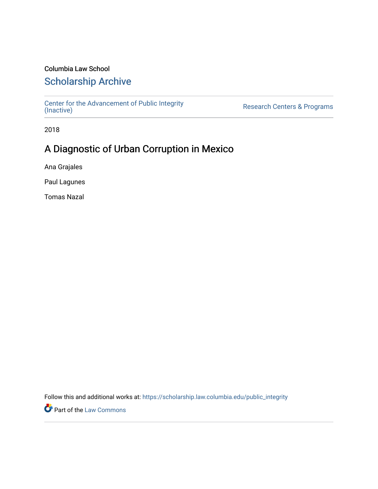### Columbia Law School

## [Scholarship Archive](https://scholarship.law.columbia.edu/)

[Center for the Advancement of Public Integrity](https://scholarship.law.columbia.edu/public_integrity)<br>(Inactive)

Research Centers & Programs

2018

## A Diagnostic of Urban Corruption in Mexico

Ana Grajales

Paul Lagunes

Tomas Nazal

Follow this and additional works at: [https://scholarship.law.columbia.edu/public\\_integrity](https://scholarship.law.columbia.edu/public_integrity?utm_source=scholarship.law.columbia.edu%2Fpublic_integrity%2F22&utm_medium=PDF&utm_campaign=PDFCoverPages)

**Part of the [Law Commons](http://network.bepress.com/hgg/discipline/578?utm_source=scholarship.law.columbia.edu%2Fpublic_integrity%2F22&utm_medium=PDF&utm_campaign=PDFCoverPages)**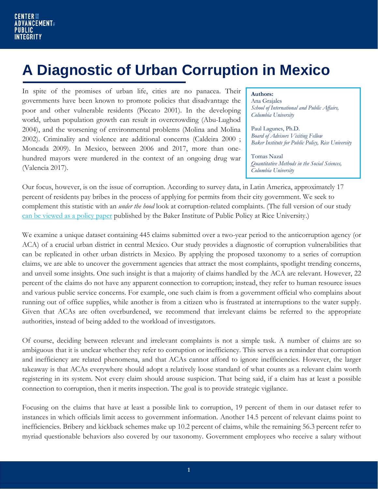# **A Diagnostic of Urban Corruption in Mexico**

In spite of the promises of urban life, cities are no panacea. Their governments have been known to promote policies that disadvantage the poor and other vulnerable residents (Piccato 2001). In the developing world, urban population growth can result in overcrowding (Abu-Lughod 2004), and the worsening of environmental problems (Molina and Molina 2002). Criminality and violence are additional concerns (Caldeira 2000 ; Moncada 2009). In Mexico, between 2006 and 2017, more than onehundred mayors were murdered in the context of an ongoing drug war (Valencia 2017).

#### **Authors:**

Ana Grajales *School of International and Public Affairs, Columbia University*

Paul Lagunes, Ph.D. *Board of Advisors Visiting Fellow Baker Institute for Public Policy, Rice University*

Tomas Nazal *Quantitative Methods in the Social Sciences, Columbia University*

Our focus, however, is on the issue of corruption. According to survey data, in Latin America, approximately 17 percent of residents pay bribes in the process of applying for permits from their city government. We seek to complement this statistic with an *under the hood* look at corruption-related complaints. (The full version of our study [can be viewed as a policy paper](https://doi.org/10.25613/cqgc-xv79) published by the Baker Institute of Public Policy at Rice University.)

We examine a unique dataset containing 445 claims submitted over a two-year period to the anticorruption agency (or ACA) of a crucial urban district in central Mexico. Our study provides a diagnostic of corruption vulnerabilities that can be replicated in other urban districts in Mexico. By applying the proposed taxonomy to a series of corruption claims, we are able to uncover the government agencies that attract the most complaints, spotlight trending concerns, and unveil some insights. One such insight is that a majority of claims handled by the ACA are relevant. However, 22 percent of the claims do not have any apparent connection to corruption; instead, they refer to human resource issues and various public service concerns. For example, one such claim is from a government official who complains about running out of office supplies, while another is from a citizen who is frustrated at interruptions to the water supply. Given that ACAs are often overburdened, we recommend that irrelevant claims be referred to the appropriate authorities, instead of being added to the workload of investigators.

Of course, deciding between relevant and irrelevant complaints is not a simple task. A number of claims are so ambiguous that it is unclear whether they refer to corruption or inefficiency. This serves as a reminder that corruption and inefficiency are related phenomena, and that ACAs cannot afford to ignore inefficiencies. However, the larger takeaway is that ACAs everywhere should adopt a relatively loose standard of what counts as a relevant claim worth registering in its system. Not every claim should arouse suspicion. That being said, if a claim has at least a possible connection to corruption, then it merits inspection. The goal is to provide strategic vigilance.

Focusing on the claims that have at least a possible link to corruption, 19 percent of them in our dataset refer to instances in which officials limit access to government information. Another 14.5 percent of relevant claims point to inefficiencies. Bribery and kickback schemes make up 10.2 percent of claims, while the remaining 56.3 percent refer to myriad questionable behaviors also covered by our taxonomy. Government employees who receive a salary without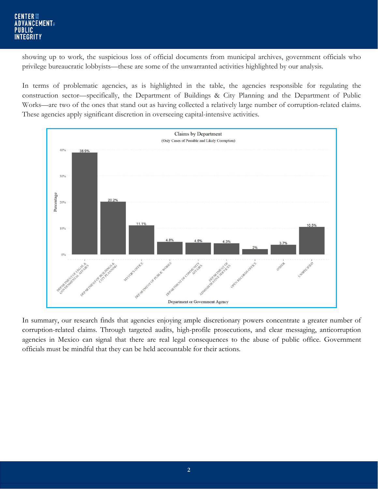### **CENTER FOR ADVANCEMENT PUBLIC INTEGRITY**

showing up to work, the suspicious loss of official documents from municipal archives, government officials who privilege bureaucratic lobbyists—these are some of the unwarranted activities highlighted by our analysis.

In terms of problematic agencies, as is highlighted in the table, the agencies responsible for regulating the construction sector—specifically, the Department of Buildings & City Planning and the Department of Public Works—are two of the ones that stand out as having collected a relatively large number of corruption-related claims. These agencies apply significant discretion in overseeing capital-intensive activities.



In summary, our research finds that agencies enjoying ample discretionary powers concentrate a greater number of corruption-related claims. Through targeted audits, high-profile prosecutions, and clear messaging, anticorruption agencies in Mexico can signal that there are real legal consequences to the abuse of public office. Government officials must be mindful that they can be held accountable for their actions.